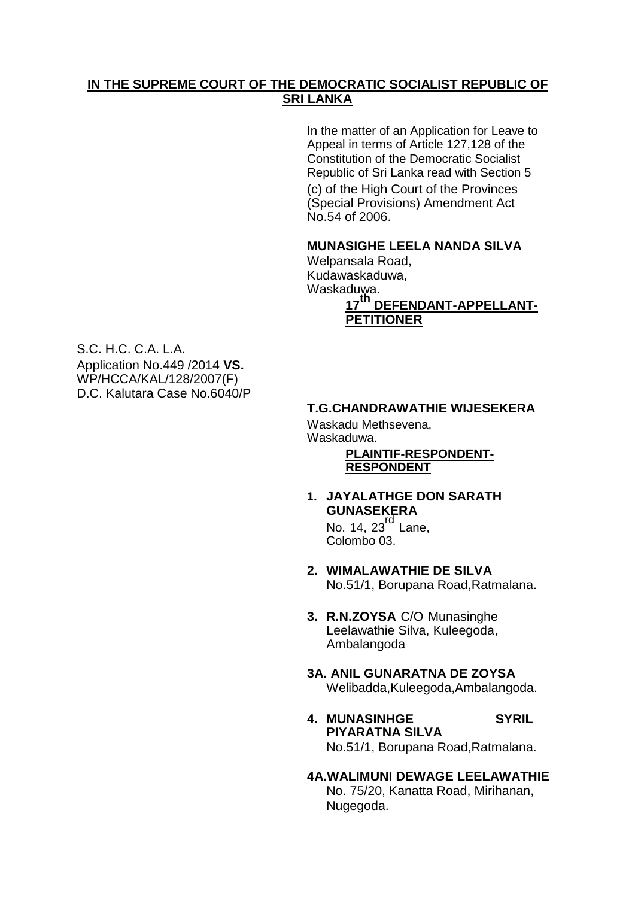# **IN THE SUPREME COURT OF THE DEMOCRATIC SOCIALIST REPUBLIC OF SRI LANKA**

In the matter of an Application for Leave to Appeal in terms of Article 127,128 of the Constitution of the Democratic Socialist Republic of Sri Lanka read with Section 5 (c) of the High Court of the Provinces (Special Provisions) Amendment Act No.54 of 2006.

### **MUNASIGHE LEELA NANDA SILVA**

Welpansala Road, Kudawaskaduwa, Waskaduwa.

# **<sup>17</sup>th DEFENDANT-APPELLANT-PETITIONER**

S.C. H.C. C.A. L.A. Application No.449 /2014 **VS.** WP/HCCA/KAL/128/2007(F) D.C. Kalutara Case No.6040/P

## **T.G.CHANDRAWATHIE WIJESEKERA**

Waskadu Methsevena, Waskaduwa.

#### **PLAINTIF-RESPONDENT-RESPONDENT**

**1. JAYALATHGE DON SARATH GUNASEKERA** 

No. 14,  $23^{rd}$  Lane. Colombo 03.

- **2. WIMALAWATHIE DE SILVA**  No.51/1, Borupana Road,Ratmalana.
- **3. R.N.ZOYSA** C/O Munasinghe Leelawathie Silva, Kuleegoda, Ambalangoda
- **3A. ANIL GUNARATNA DE ZOYSA** Welibadda,Kuleegoda,Ambalangoda.
- **4. MUNASINHGE SYRIL PIYARATNA SILVA**  No.51/1, Borupana Road,Ratmalana.

#### **4A.WALIMUNI DEWAGE LEELAWATHIE** No. 75/20, Kanatta Road, Mirihanan, Nugegoda.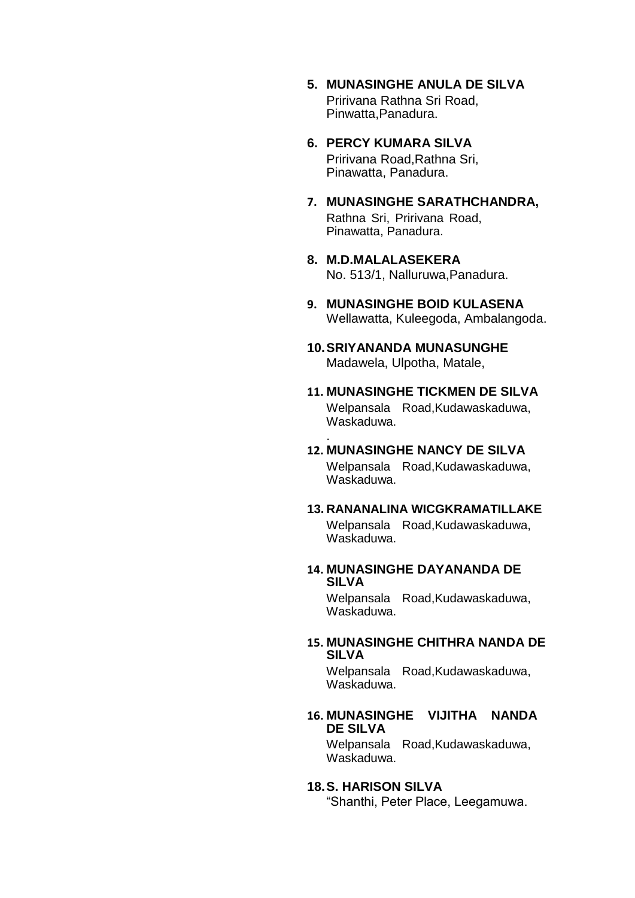- **5. MUNASINGHE ANULA DE SILVA**  Pririvana Rathna Sri Road, Pinwatta,Panadura.
- **6. PERCY KUMARA SILVA**  Pririvana Road,Rathna Sri, Pinawatta, Panadura.
- **7. MUNASINGHE SARATHCHANDRA,**  Rathna Sri, Pririvana Road, Pinawatta, Panadura.
- **8. M.D.MALALASEKERA**  No. 513/1, Nalluruwa,Panadura.
- **9. MUNASINGHE BOID KULASENA**  Wellawatta, Kuleegoda, Ambalangoda.
- **10.SRIYANANDA MUNASUNGHE**  Madawela, Ulpotha, Matale,
- **11. MUNASINGHE TICKMEN DE SILVA**  Welpansala Road,Kudawaskaduwa, Waskaduwa.

#### **12. MUNASINGHE NANCY DE SILVA**

.

Welpansala Road,Kudawaskaduwa, Waskaduwa.

#### **13. RANANALINA WICGKRAMATILLAKE**  Welpansala Road,Kudawaskaduwa, Waskaduwa.

#### **14. MUNASINGHE DAYANANDA DE SILVA**

Welpansala Road,Kudawaskaduwa, Waskaduwa.

#### **15. MUNASINGHE CHITHRA NANDA DE SILVA**

Welpansala Road,Kudawaskaduwa, Waskaduwa.

#### **16. MUNASINGHE VIJITHA NANDA DE SILVA**

Welpansala Road,Kudawaskaduwa, Waskaduwa.

#### **18.S. HARISON SILVA**

"Shanthi, Peter Place, Leegamuwa.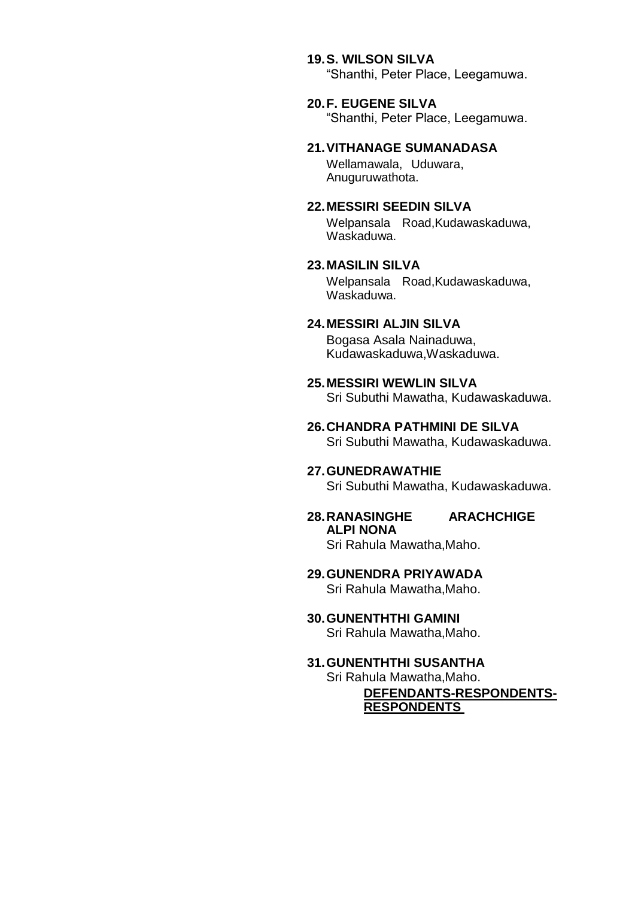#### **19.S. WILSON SILVA**

"Shanthi, Peter Place, Leegamuwa.

#### **20.F. EUGENE SILVA**

"Shanthi, Peter Place, Leegamuwa.

#### **21.VITHANAGE SUMANADASA**

Wellamawala, Uduwara, Anuguruwathota.

#### **22.MESSIRI SEEDIN SILVA**

Welpansala Road,Kudawaskaduwa, Waskaduwa.

### **23.MASILIN SILVA**

Welpansala Road,Kudawaskaduwa, Waskaduwa.

# **24.MESSIRI ALJIN SILVA**

Bogasa Asala Nainaduwa, Kudawaskaduwa,Waskaduwa.

#### **25.MESSIRI WEWLIN SILVA**

Sri Subuthi Mawatha, Kudawaskaduwa.

#### **26.CHANDRA PATHMINI DE SILVA**  Sri Subuthi Mawatha, Kudawaskaduwa.

#### **27.GUNEDRAWATHIE**  Sri Subuthi Mawatha, Kudawaskaduwa.

#### **28.RANASINGHE ARACHCHIGE ALPI NONA**  Sri Rahula Mawatha,Maho.

# **29.GUNENDRA PRIYAWADA**

Sri Rahula Mawatha,Maho.

# **30.GUNENTHTHI GAMINI**

Sri Rahula Mawatha,Maho.

#### **31.GUNENTHTHI SUSANTHA**  Sri Rahula Mawatha,Maho.

**DEFENDANTS-RESPONDENTS-RESPONDENTS**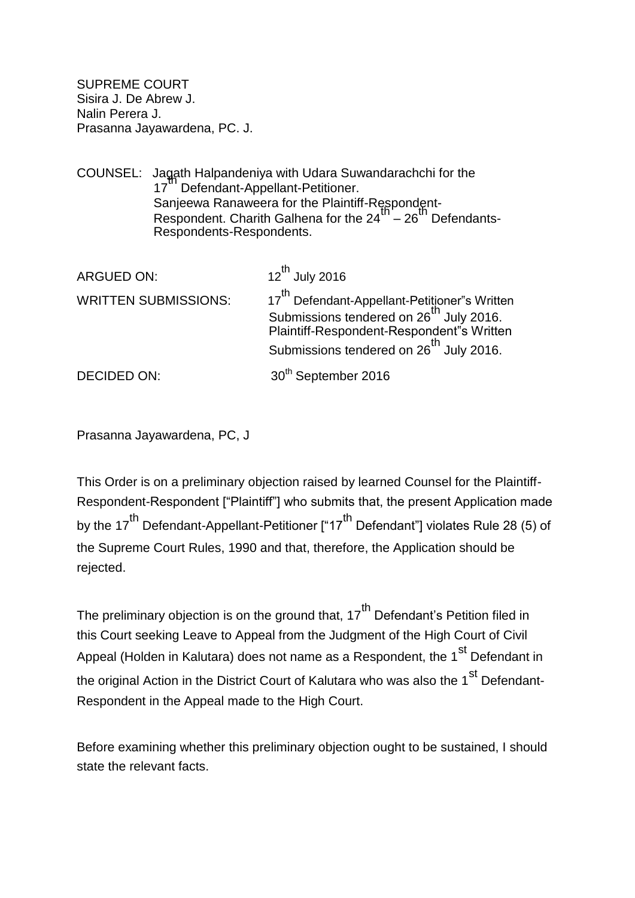SUPREME COURT Sisira J. De Abrew J. Nalin Perera J. Prasanna Jayawardena, PC. J.

COUNSEL: Jagath Halpandeniya with Udara Suwandarachchi for the 17" Defendant-Appellant-Petitioner. Sanjeewa Ranaweera for the Plaintiff-Respondent-Banjoona Hanamoora for the Plantin Higgenath.<br>Respondent. Charith Galhena for the 24<sup>th</sup> – 26<sup>th</sup> Defendants-Respondents-Respondents.

| ARGUED ON:                  | $12^{th}$ July 2016                                                                                                                                                                                                  |
|-----------------------------|----------------------------------------------------------------------------------------------------------------------------------------------------------------------------------------------------------------------|
| <b>WRITTEN SUBMISSIONS:</b> | 17 <sup>th</sup> Defendant-Appellant-Petitioner"s Written<br>Submissions tendered on 26 <sup>th</sup> July 2016.<br>Plaintiff-Respondent-Respondent"s Written<br>Submissions tendered on 26 <sup>th</sup> July 2016. |
| DECIDED ON:                 | 30 <sup>th</sup> September 2016                                                                                                                                                                                      |

Prasanna Jayawardena, PC, J

This Order is on a preliminary objection raised by learned Counsel for the Plaintiff-Respondent-Respondent ["Plaintiff"] who submits that, the present Application made by the 17<sup>th</sup> Defendant-Appellant-Petitioner ["17<sup>th</sup> Defendant"] violates Rule 28 (5) of the Supreme Court Rules, 1990 and that, therefore, the Application should be rejected.

The preliminary objection is on the ground that,  $17<sup>th</sup>$  Defendant's Petition filed in this Court seeking Leave to Appeal from the Judgment of the High Court of Civil Appeal (Holden in Kalutara) does not name as a Respondent, the 1<sup>st</sup> Defendant in the original Action in the District Court of Kalutara who was also the 1<sup>st</sup> Defendant-Respondent in the Appeal made to the High Court.

Before examining whether this preliminary objection ought to be sustained, I should state the relevant facts.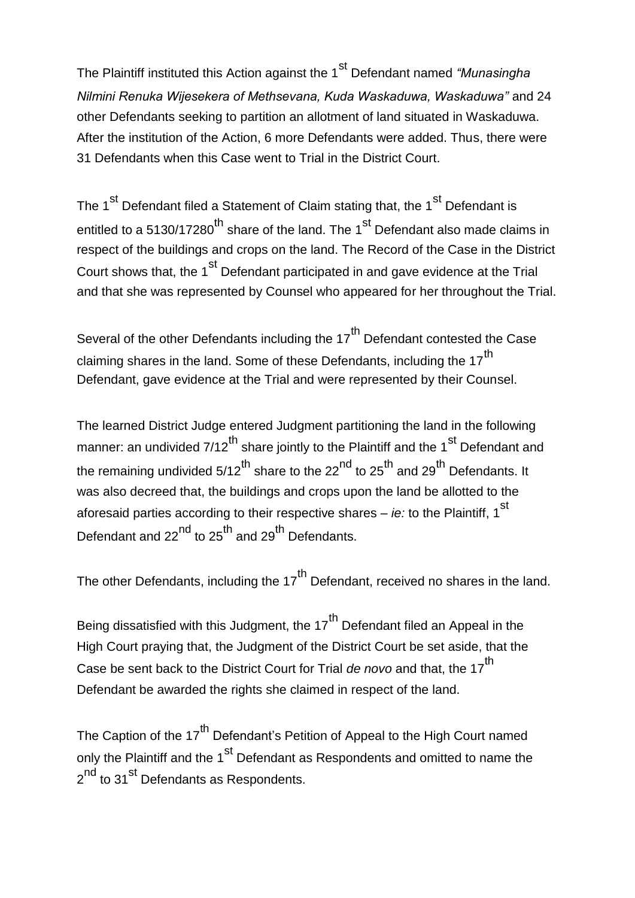The Plaintiff instituted this Action against the 1<sup>st</sup> Defendant named *"Munasingha*" *Nilmini Renuka Wijesekera of Methsevana, Kuda Waskaduwa, Waskaduwa"* and 24 other Defendants seeking to partition an allotment of land situated in Waskaduwa. After the institution of the Action, 6 more Defendants were added. Thus, there were 31 Defendants when this Case went to Trial in the District Court.

The 1<sup>st</sup> Defendant filed a Statement of Claim stating that, the 1<sup>st</sup> Defendant is entitled to a 5130/17280<sup>th</sup> share of the land. The 1<sup>st</sup> Defendant also made claims in respect of the buildings and crops on the land. The Record of the Case in the District Court shows that, the 1<sup>st</sup> Defendant participated in and gave evidence at the Trial and that she was represented by Counsel who appeared for her throughout the Trial.

Several of the other Defendants including the 17<sup>th</sup> Defendant contested the Case claiming shares in the land. Some of these Defendants, including the 17<sup>th</sup> Defendant, gave evidence at the Trial and were represented by their Counsel.

The learned District Judge entered Judgment partitioning the land in the following manner: an undivided  $7/12^{th}$  share jointly to the Plaintiff and the 1<sup>st</sup> Defendant and the remaining undivided  $5/12^{th}$  share to the  $22^{nd}$  to  $25^{th}$  and  $29^{th}$  Defendants. It was also decreed that, the buildings and crops upon the land be allotted to the aforesaid parties according to their respective shares – *ie:* to the Plaintiff, 1<sup>st</sup> Defendant and  $22^{nd}$  to  $25^{th}$  and  $29^{th}$  Defendants.

The other Defendants, including the 17<sup>th</sup> Defendant, received no shares in the land.

Being dissatisfied with this Judgment, the  $17<sup>th</sup>$  Defendant filed an Appeal in the High Court praying that, the Judgment of the District Court be set aside, that the Case be sent back to the District Court for Trial *de novo* and that, the 17<sup>th</sup> Defendant be awarded the rights she claimed in respect of the land.

The Caption of the 17<sup>th</sup> Defendant's Petition of Appeal to the High Court named only the Plaintiff and the 1<sup>st</sup> Defendant as Respondents and omitted to name the 2<sup>nd</sup> to 31<sup>st</sup> Defendants as Respondents.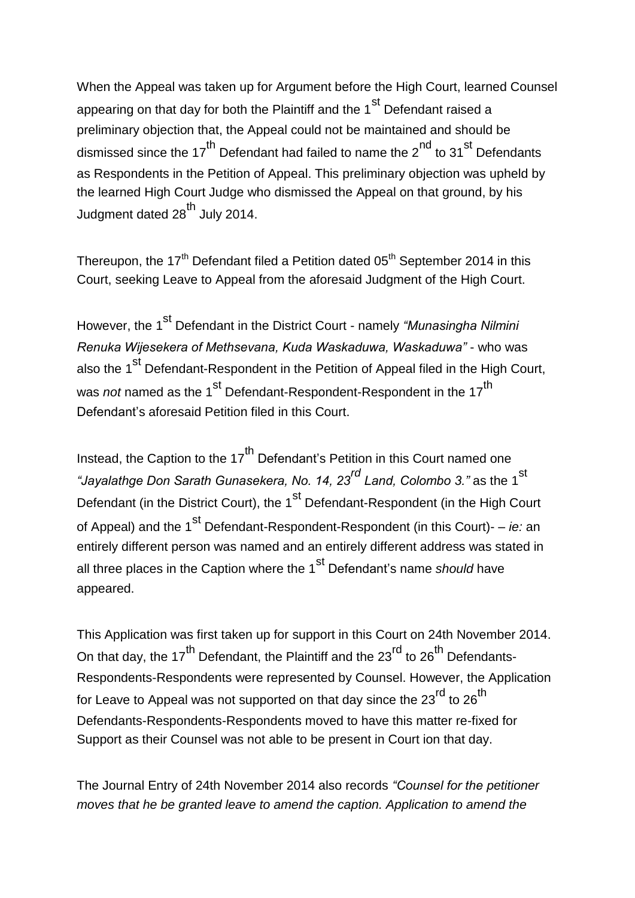When the Appeal was taken up for Argument before the High Court, learned Counsel appearing on that day for both the Plaintiff and the  $1<sup>st</sup>$  Defendant raised a preliminary objection that, the Appeal could not be maintained and should be dismissed since the 17<sup>th</sup> Defendant had failed to name the  $2^{nd}$  to 31<sup>st</sup> Defendants as Respondents in the Petition of Appeal. This preliminary objection was upheld by the learned High Court Judge who dismissed the Appeal on that ground, by his Judgment dated 28<sup>th</sup> July 2014.

Thereupon, the  $17<sup>th</sup>$  Defendant filed a Petition dated  $05<sup>th</sup>$  September 2014 in this Court, seeking Leave to Appeal from the aforesaid Judgment of the High Court.

However, the 1<sup>st</sup> Defendant in the District Court - namely *"Munasingha Nilmini Renuka Wijesekera of Methsevana, Kuda Waskaduwa, Waskaduwa"* - who was also the 1<sup>st</sup> Defendant-Respondent in the Petition of Appeal filed in the High Court, was *not* named as the 1<sup>st</sup> Defendant-Respondent-Respondent in the 17<sup>th</sup> Defendant"s aforesaid Petition filed in this Court.

Instead, the Caption to the 17<sup>th</sup> Defendant's Petition in this Court named one *"Jayalathge Don Sarath Gunasekera, No. 14, 23rd Land, Colombo 3."* as the 1st Defendant (in the District Court), the 1<sup>st</sup> Defendant-Respondent (in the High Court of Appeal) and the 1<sup>st</sup> Defendant-Respondent-Respondent (in this Court)- – *ie:* an entirely different person was named and an entirely different address was stated in all three places in the Caption where the 1<sup>st</sup> Defendant's name *should* have appeared.

This Application was first taken up for support in this Court on 24th November 2014. On that day, the 17<sup>th</sup> Defendant, the Plaintiff and the 23<sup>rd</sup> to 26<sup>th</sup> Defendants-Respondents-Respondents were represented by Counsel. However, the Application for Leave to Appeal was not supported on that day since the 23<sup>rd</sup> to 26<sup>th</sup> Defendants-Respondents-Respondents moved to have this matter re-fixed for Support as their Counsel was not able to be present in Court ion that day.

The Journal Entry of 24th November 2014 also records *"Counsel for the petitioner moves that he be granted leave to amend the caption. Application to amend the*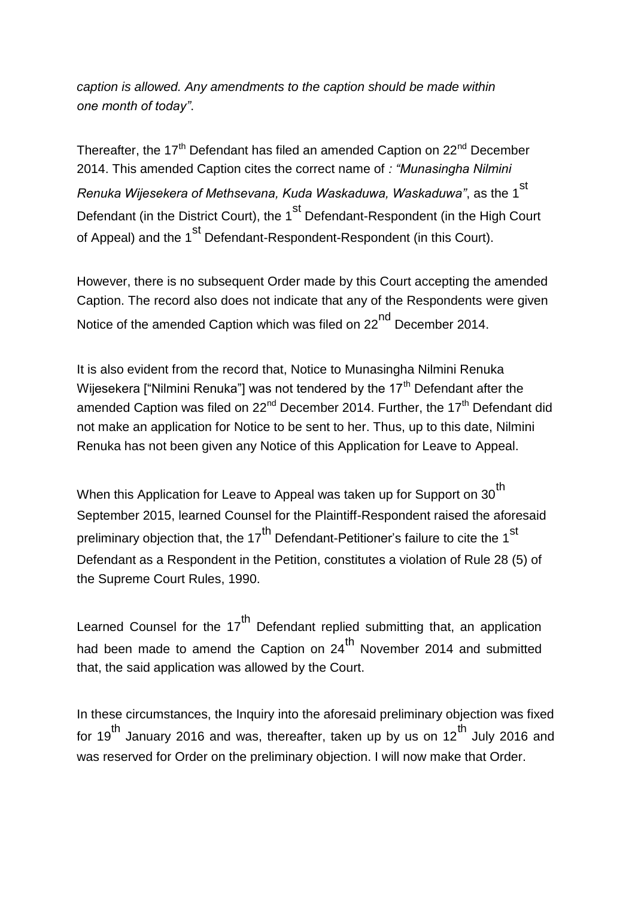*caption is allowed. Any amendments to the caption should be made within one month of today"*.

Thereafter, the 17<sup>th</sup> Defendant has filed an amended Caption on 22<sup>nd</sup> December 2014. This amended Caption cites the correct name of *: "Munasingha Nilmini Renuka Wijesekera of Methsevana, Kuda Waskaduwa, Waskaduwa"*, as the 1st Defendant (in the District Court), the 1<sup>st</sup> Defendant-Respondent (in the High Court of Appeal) and the 1<sup>st</sup> Defendant-Respondent-Respondent (in this Court).

However, there is no subsequent Order made by this Court accepting the amended Caption. The record also does not indicate that any of the Respondents were given Notice of the amended Caption which was filed on 22<sup>nd</sup> December 2014.

It is also evident from the record that, Notice to Munasingha Nilmini Renuka Wijesekera ["Nilmini Renuka"] was not tendered by the 17<sup>th</sup> Defendant after the amended Caption was filed on  $22<sup>nd</sup>$  December 2014. Further, the 17<sup>th</sup> Defendant did not make an application for Notice to be sent to her. Thus, up to this date, Nilmini Renuka has not been given any Notice of this Application for Leave to Appeal.

When this Application for Leave to Appeal was taken up for Support on 30<sup>th</sup> September 2015, learned Counsel for the Plaintiff-Respondent raised the aforesaid preliminary objection that, the  $17<sup>th</sup>$  Defendant-Petitioner's failure to cite the 1<sup>st</sup> Defendant as a Respondent in the Petition, constitutes a violation of Rule 28 (5) of the Supreme Court Rules, 1990.

Learned Counsel for the 17<sup>th</sup> Defendant replied submitting that, an application had been made to amend the Caption on  $24<sup>th</sup>$  November 2014 and submitted that, the said application was allowed by the Court.

In these circumstances, the Inquiry into the aforesaid preliminary objection was fixed for 19<sup>th</sup> January 2016 and was, thereafter, taken up by us on 12<sup>th</sup> July 2016 and was reserved for Order on the preliminary objection. I will now make that Order.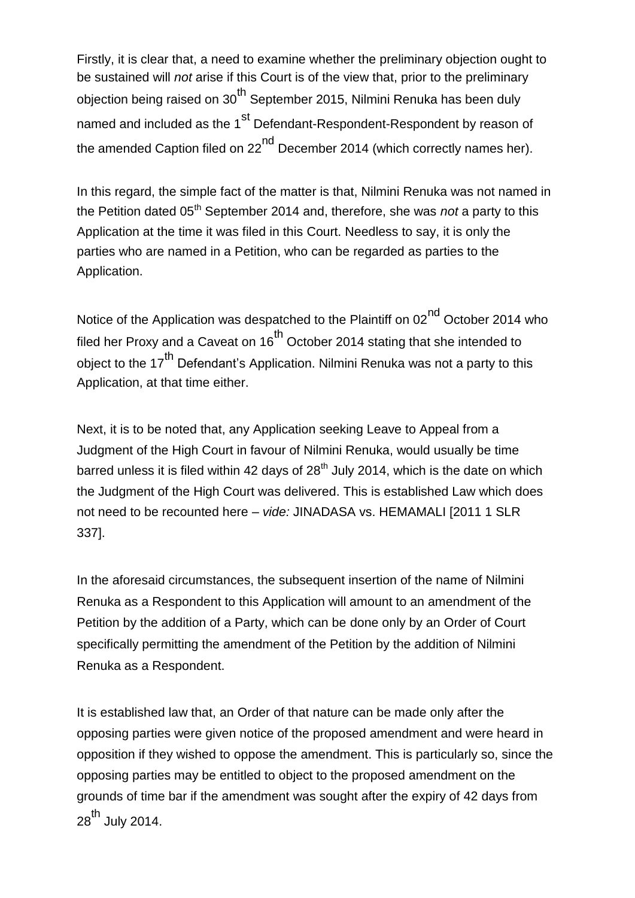Firstly, it is clear that, a need to examine whether the preliminary objection ought to be sustained will *not* arise if this Court is of the view that, prior to the preliminary objection being raised on 30<sup>th</sup> September 2015, Nilmini Renuka has been duly named and included as the 1<sup>st</sup> Defendant-Respondent-Respondent by reason of the amended Caption filed on 22 $<sup>nd</sup>$  December 2014 (which correctly names her).</sup>

In this regard, the simple fact of the matter is that, Nilmini Renuka was not named in the Petition dated 05<sup>th</sup> September 2014 and, therefore, she was *not* a party to this Application at the time it was filed in this Court. Needless to say, it is only the parties who are named in a Petition, who can be regarded as parties to the Application.

Notice of the Application was despatched to the Plaintiff on  $02<sup>nd</sup>$  October 2014 who filed her Proxy and a Caveat on  $16<sup>th</sup>$  October 2014 stating that she intended to obiect to the 17<sup>th</sup> Defendant's Application. Nilmini Renuka was not a party to this Application, at that time either.

Next, it is to be noted that, any Application seeking Leave to Appeal from a Judgment of the High Court in favour of Nilmini Renuka, would usually be time barred unless it is filed within 42 days of  $28<sup>th</sup>$  July 2014, which is the date on which the Judgment of the High Court was delivered. This is established Law which does not need to be recounted here – *vide:* JINADASA vs. HEMAMALI [2011 1 SLR 337].

In the aforesaid circumstances, the subsequent insertion of the name of Nilmini Renuka as a Respondent to this Application will amount to an amendment of the Petition by the addition of a Party, which can be done only by an Order of Court specifically permitting the amendment of the Petition by the addition of Nilmini Renuka as a Respondent.

It is established law that, an Order of that nature can be made only after the opposing parties were given notice of the proposed amendment and were heard in opposition if they wished to oppose the amendment. This is particularly so, since the opposing parties may be entitled to object to the proposed amendment on the grounds of time bar if the amendment was sought after the expiry of 42 days from  $28^{th}$  July 2014.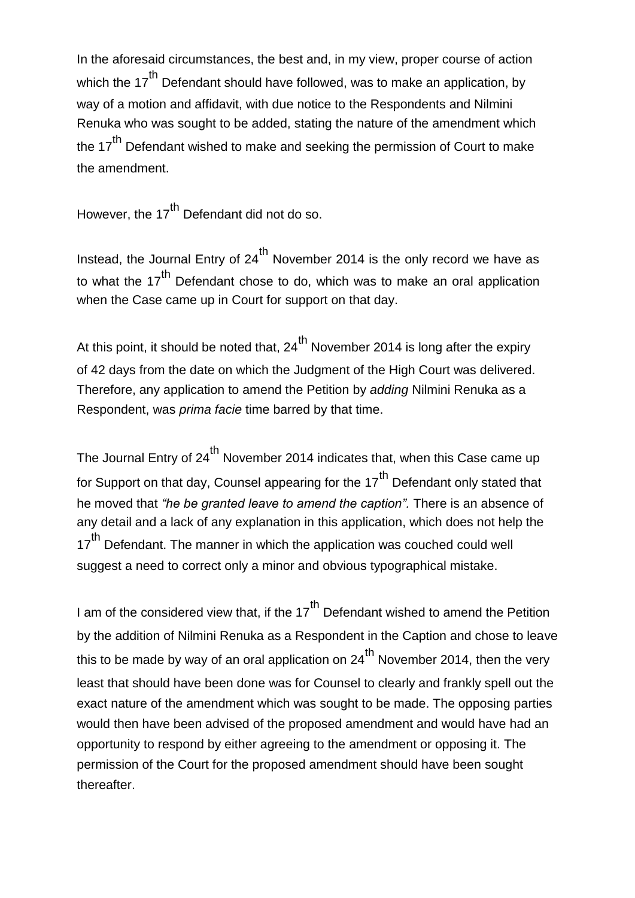In the aforesaid circumstances, the best and, in my view, proper course of action which the  $17<sup>th</sup>$  Defendant should have followed, was to make an application, by way of a motion and affidavit, with due notice to the Respondents and Nilmini Renuka who was sought to be added, stating the nature of the amendment which the 17<sup>th</sup> Defendant wished to make and seeking the permission of Court to make the amendment.

However, the  $17<sup>th</sup>$  Defendant did not do so.

Instead, the Journal Entry of  $24<sup>th</sup>$  November 2014 is the only record we have as to what the  $17<sup>th</sup>$  Defendant chose to do, which was to make an oral application when the Case came up in Court for support on that day.

At this point, it should be noted that,  $24^{th}$  November 2014 is long after the expiry of 42 days from the date on which the Judgment of the High Court was delivered. Therefore, any application to amend the Petition by *adding* Nilmini Renuka as a Respondent, was *prima facie* time barred by that time.

The Journal Entry of 24<sup>th</sup> November 2014 indicates that, when this Case came up for Support on that day, Counsel appearing for the  $17<sup>th</sup>$  Defendant only stated that he moved that *"he be granted leave to amend the caption".* There is an absence of any detail and a lack of any explanation in this application, which does not help the 17<sup>th</sup> Defendant. The manner in which the application was couched could well suggest a need to correct only a minor and obvious typographical mistake.

I am of the considered view that, if the  $17<sup>th</sup>$  Defendant wished to amend the Petition by the addition of Nilmini Renuka as a Respondent in the Caption and chose to leave this to be made by way of an oral application on  $24<sup>th</sup>$  November 2014, then the very least that should have been done was for Counsel to clearly and frankly spell out the exact nature of the amendment which was sought to be made. The opposing parties would then have been advised of the proposed amendment and would have had an opportunity to respond by either agreeing to the amendment or opposing it. The permission of the Court for the proposed amendment should have been sought thereafter.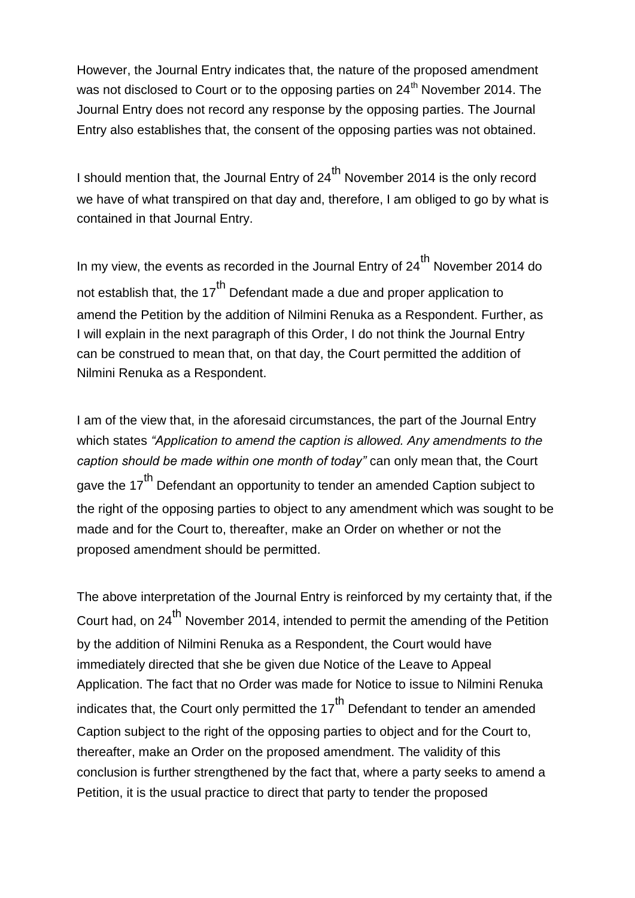However, the Journal Entry indicates that, the nature of the proposed amendment was not disclosed to Court or to the opposing parties on 24<sup>th</sup> November 2014. The Journal Entry does not record any response by the opposing parties. The Journal Entry also establishes that, the consent of the opposing parties was not obtained.

I should mention that, the Journal Entry of  $24^{th}$  November 2014 is the only record we have of what transpired on that day and, therefore, I am obliged to go by what is contained in that Journal Entry.

In my view, the events as recorded in the Journal Entry of  $24^{th}$  November 2014 do not establish that, the  $17<sup>th</sup>$  Defendant made a due and proper application to amend the Petition by the addition of Nilmini Renuka as a Respondent. Further, as I will explain in the next paragraph of this Order, I do not think the Journal Entry can be construed to mean that, on that day, the Court permitted the addition of Nilmini Renuka as a Respondent.

I am of the view that, in the aforesaid circumstances, the part of the Journal Entry which states *"Application to amend the caption is allowed. Any amendments to the caption should be made within one month of today"* can only mean that, the Court gave the 17<sup>th</sup> Defendant an opportunity to tender an amended Caption subject to the right of the opposing parties to object to any amendment which was sought to be made and for the Court to, thereafter, make an Order on whether or not the proposed amendment should be permitted.

The above interpretation of the Journal Entry is reinforced by my certainty that, if the Court had, on 24<sup>th</sup> November 2014, intended to permit the amending of the Petition by the addition of Nilmini Renuka as a Respondent, the Court would have immediately directed that she be given due Notice of the Leave to Appeal Application. The fact that no Order was made for Notice to issue to Nilmini Renuka indicates that, the Court only permitted the  $17<sup>th</sup>$  Defendant to tender an amended Caption subject to the right of the opposing parties to object and for the Court to, thereafter, make an Order on the proposed amendment. The validity of this conclusion is further strengthened by the fact that, where a party seeks to amend a Petition, it is the usual practice to direct that party to tender the proposed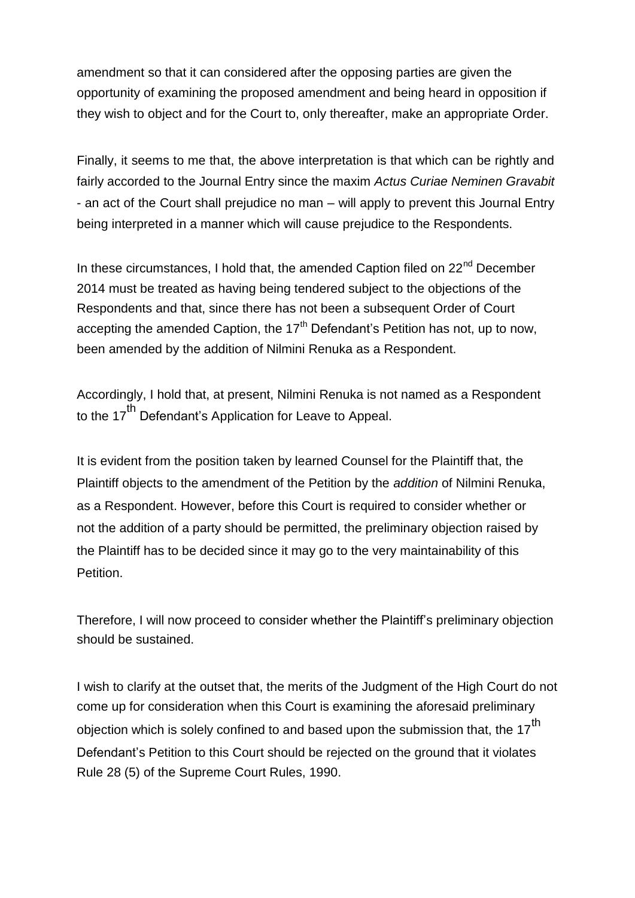amendment so that it can considered after the opposing parties are given the opportunity of examining the proposed amendment and being heard in opposition if they wish to object and for the Court to, only thereafter, make an appropriate Order.

Finally, it seems to me that, the above interpretation is that which can be rightly and fairly accorded to the Journal Entry since the maxim *Actus Curiae Neminen Gravabit* - an act of the Court shall prejudice no man – will apply to prevent this Journal Entry being interpreted in a manner which will cause prejudice to the Respondents.

In these circumstances, I hold that, the amended Caption filed on 22<sup>nd</sup> December 2014 must be treated as having being tendered subject to the objections of the Respondents and that, since there has not been a subsequent Order of Court accepting the amended Caption, the  $17<sup>th</sup>$  Defendant's Petition has not, up to now, been amended by the addition of Nilmini Renuka as a Respondent.

Accordingly, I hold that, at present, Nilmini Renuka is not named as a Respondent to the 17<sup>th</sup> Defendant's Application for Leave to Appeal.

It is evident from the position taken by learned Counsel for the Plaintiff that, the Plaintiff objects to the amendment of the Petition by the *addition* of Nilmini Renuka, as a Respondent. However, before this Court is required to consider whether or not the addition of a party should be permitted, the preliminary objection raised by the Plaintiff has to be decided since it may go to the very maintainability of this Petition.

Therefore, I will now proceed to consider whether the Plaintiff"s preliminary objection should be sustained.

I wish to clarify at the outset that, the merits of the Judgment of the High Court do not come up for consideration when this Court is examining the aforesaid preliminary objection which is solely confined to and based upon the submission that, the  $17^{th}$ Defendant"s Petition to this Court should be rejected on the ground that it violates Rule 28 (5) of the Supreme Court Rules, 1990.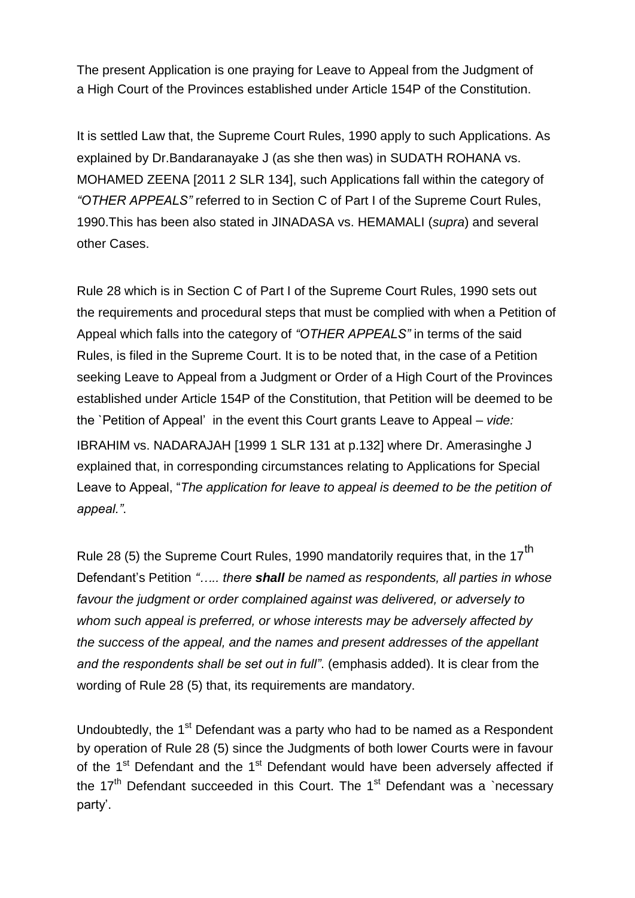The present Application is one praying for Leave to Appeal from the Judgment of a High Court of the Provinces established under Article 154P of the Constitution.

It is settled Law that, the Supreme Court Rules, 1990 apply to such Applications. As explained by Dr.Bandaranayake J (as she then was) in SUDATH ROHANA vs. MOHAMED ZEENA [2011 2 SLR 134], such Applications fall within the category of *"OTHER APPEALS"* referred to in Section C of Part I of the Supreme Court Rules, 1990.This has been also stated in JINADASA vs. HEMAMALI (*supra*) and several other Cases.

Rule 28 which is in Section C of Part I of the Supreme Court Rules, 1990 sets out the requirements and procedural steps that must be complied with when a Petition of Appeal which falls into the category of *"OTHER APPEALS"* in terms of the said Rules, is filed in the Supreme Court. It is to be noted that, in the case of a Petition seeking Leave to Appeal from a Judgment or Order of a High Court of the Provinces established under Article 154P of the Constitution, that Petition will be deemed to be the `Petition of Appeal" in the event this Court grants Leave to Appeal – *vide:* IBRAHIM vs. NADARAJAH [1999 1 SLR 131 at p.132] where Dr. Amerasinghe J explained that, in corresponding circumstances relating to Applications for Special Leave to Appeal, "*The application for leave to appeal is deemed to be the petition of appeal."*.

Rule 28 (5) the Supreme Court Rules, 1990 mandatorily requires that, in the  $17<sup>th</sup>$ Defendant"s Petition *"….. there shall be named as respondents, all parties in whose favour the judgment or order complained against was delivered, or adversely to whom such appeal is preferred, or whose interests may be adversely affected by the success of the appeal, and the names and present addresses of the appellant and the respondents shall be set out in full"*. (emphasis added). It is clear from the wording of Rule 28 (5) that, its requirements are mandatory.

Undoubtedly, the 1<sup>st</sup> Defendant was a party who had to be named as a Respondent by operation of Rule 28 (5) since the Judgments of both lower Courts were in favour of the  $1<sup>st</sup>$  Defendant and the  $1<sup>st</sup>$  Defendant would have been adversely affected if the  $17<sup>th</sup>$  Defendant succeeded in this Court. The 1<sup>st</sup> Defendant was a `necessary party'.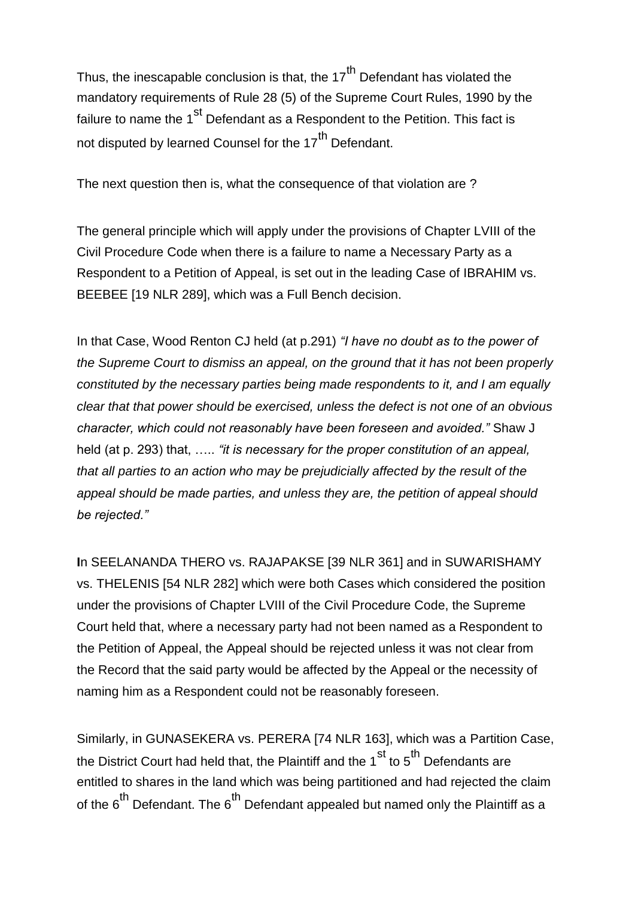Thus, the inescapable conclusion is that, the  $17<sup>th</sup>$  Defendant has violated the mandatory requirements of Rule 28 (5) of the Supreme Court Rules, 1990 by the failure to name the  $1<sup>st</sup>$  Defendant as a Respondent to the Petition. This fact is not disputed by learned Counsel for the 17<sup>th</sup> Defendant.

The next question then is, what the consequence of that violation are ?

The general principle which will apply under the provisions of Chapter LVIII of the Civil Procedure Code when there is a failure to name a Necessary Party as a Respondent to a Petition of Appeal, is set out in the leading Case of IBRAHIM vs. BEEBEE [19 NLR 289], which was a Full Bench decision.

In that Case, Wood Renton CJ held (at p.291) *"I have no doubt as to the power of the Supreme Court to dismiss an appeal, on the ground that it has not been properly constituted by the necessary parties being made respondents to it, and I am equally clear that that power should be exercised, unless the defect is not one of an obvious character, which could not reasonably have been foreseen and avoided."* Shaw J held (at p. 293) that, ….. *"it is necessary for the proper constitution of an appeal, that all parties to an action who may be prejudicially affected by the result of the appeal should be made parties, and unless they are, the petition of appeal should be rejected."*

**I**n SEELANANDA THERO vs. RAJAPAKSE [39 NLR 361] and in SUWARISHAMY vs. THELENIS [54 NLR 282] which were both Cases which considered the position under the provisions of Chapter LVIII of the Civil Procedure Code, the Supreme Court held that, where a necessary party had not been named as a Respondent to the Petition of Appeal, the Appeal should be rejected unless it was not clear from the Record that the said party would be affected by the Appeal or the necessity of naming him as a Respondent could not be reasonably foreseen.

Similarly, in GUNASEKERA vs. PERERA [74 NLR 163], which was a Partition Case, the District Court had held that, the Plaintiff and the  $1^{st}$  to  $5^{th}$  Defendants are entitled to shares in the land which was being partitioned and had rejected the claim of the  $6<sup>th</sup>$  Defendant. The  $6<sup>th</sup>$  Defendant appealed but named only the Plaintiff as a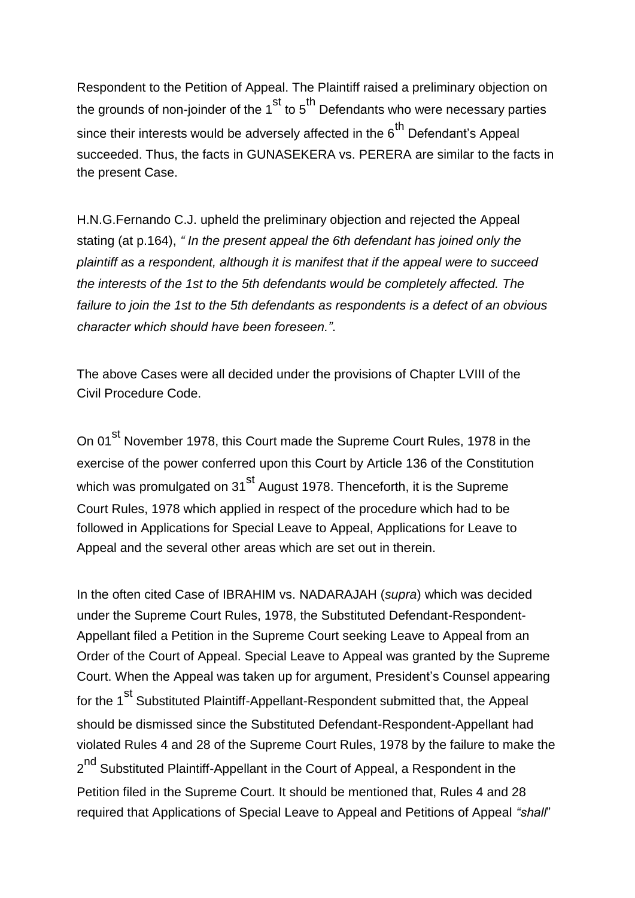Respondent to the Petition of Appeal. The Plaintiff raised a preliminary objection on the grounds of non-joinder of the  $1^{st}$  to  $5^{th}$  Defendants who were necessary parties since their interests would be adversely affected in the  $6<sup>th</sup>$  Defendant's Appeal succeeded. Thus, the facts in GUNASEKERA vs. PERERA are similar to the facts in the present Case.

H.N.G.Fernando C.J. upheld the preliminary objection and rejected the Appeal stating (at p.164), *" In the present appeal the 6th defendant has joined only the plaintiff as a respondent, although it is manifest that if the appeal were to succeed the interests of the 1st to the 5th defendants would be completely affected. The failure to join the 1st to the 5th defendants as respondents is a defect of an obvious character which should have been foreseen."*.

The above Cases were all decided under the provisions of Chapter LVIII of the Civil Procedure Code.

On 01<sup>st</sup> November 1978, this Court made the Supreme Court Rules, 1978 in the exercise of the power conferred upon this Court by Article 136 of the Constitution which was promulgated on 31<sup>st</sup> August 1978. Thenceforth, it is the Supreme Court Rules, 1978 which applied in respect of the procedure which had to be followed in Applications for Special Leave to Appeal, Applications for Leave to Appeal and the several other areas which are set out in therein.

In the often cited Case of IBRAHIM vs. NADARAJAH (*supra*) which was decided under the Supreme Court Rules, 1978, the Substituted Defendant-Respondent-Appellant filed a Petition in the Supreme Court seeking Leave to Appeal from an Order of the Court of Appeal. Special Leave to Appeal was granted by the Supreme Court. When the Appeal was taken up for argument, President"s Counsel appearing for the 1<sup>st</sup> Substituted Plaintiff-Appellant-Respondent submitted that, the Appeal should be dismissed since the Substituted Defendant-Respondent-Appellant had violated Rules 4 and 28 of the Supreme Court Rules, 1978 by the failure to make the 2<sup>nd</sup> Substituted Plaintiff-Appellant in the Court of Appeal, a Respondent in the Petition filed in the Supreme Court. It should be mentioned that, Rules 4 and 28 required that Applications of Special Leave to Appeal and Petitions of Appeal *"shall*"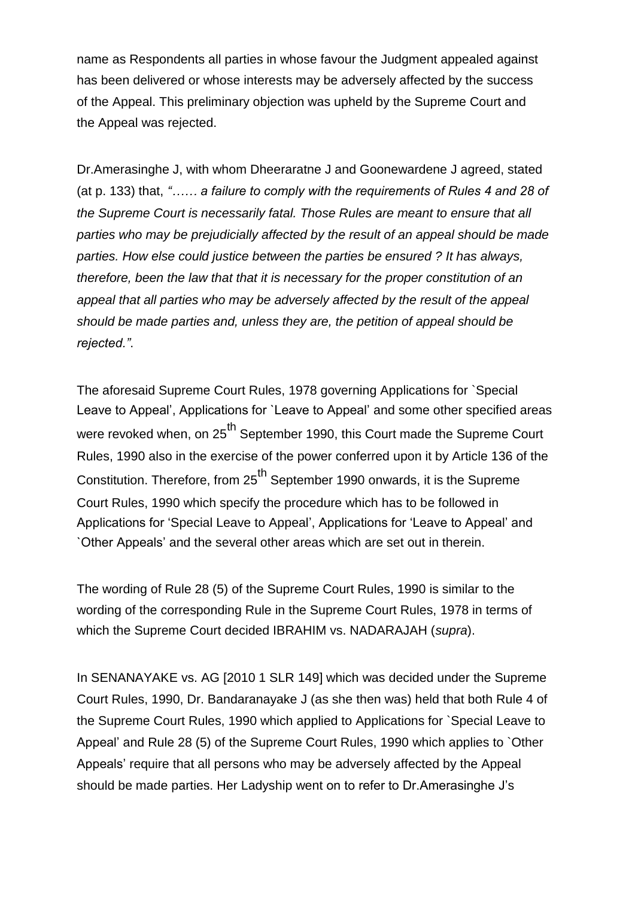name as Respondents all parties in whose favour the Judgment appealed against has been delivered or whose interests may be adversely affected by the success of the Appeal. This preliminary objection was upheld by the Supreme Court and the Appeal was rejected.

Dr.Amerasinghe J, with whom Dheeraratne J and Goonewardene J agreed, stated (at p. 133) that, *"…… a failure to comply with the requirements of Rules 4 and 28 of the Supreme Court is necessarily fatal. Those Rules are meant to ensure that all parties who may be prejudicially affected by the result of an appeal should be made parties. How else could justice between the parties be ensured ? It has always, therefore, been the law that that it is necessary for the proper constitution of an appeal that all parties who may be adversely affected by the result of the appeal should be made parties and, unless they are, the petition of appeal should be rejected."*.

The aforesaid Supreme Court Rules, 1978 governing Applications for `Special Leave to Appeal", Applications for `Leave to Appeal" and some other specified areas were revoked when, on 25<sup>th</sup> September 1990, this Court made the Supreme Court Rules, 1990 also in the exercise of the power conferred upon it by Article 136 of the Constitution. Therefore, from 25<sup>th</sup> September 1990 onwards, it is the Supreme Court Rules, 1990 which specify the procedure which has to be followed in Applications for "Special Leave to Appeal", Applications for "Leave to Appeal" and `Other Appeals" and the several other areas which are set out in therein.

The wording of Rule 28 (5) of the Supreme Court Rules, 1990 is similar to the wording of the corresponding Rule in the Supreme Court Rules, 1978 in terms of which the Supreme Court decided IBRAHIM vs. NADARAJAH (*supra*).

In SENANAYAKE vs. AG [2010 1 SLR 149] which was decided under the Supreme Court Rules, 1990, Dr. Bandaranayake J (as she then was) held that both Rule 4 of the Supreme Court Rules, 1990 which applied to Applications for `Special Leave to Appeal" and Rule 28 (5) of the Supreme Court Rules, 1990 which applies to `Other Appeals" require that all persons who may be adversely affected by the Appeal should be made parties. Her Ladyship went on to refer to Dr.Amerasinghe J"s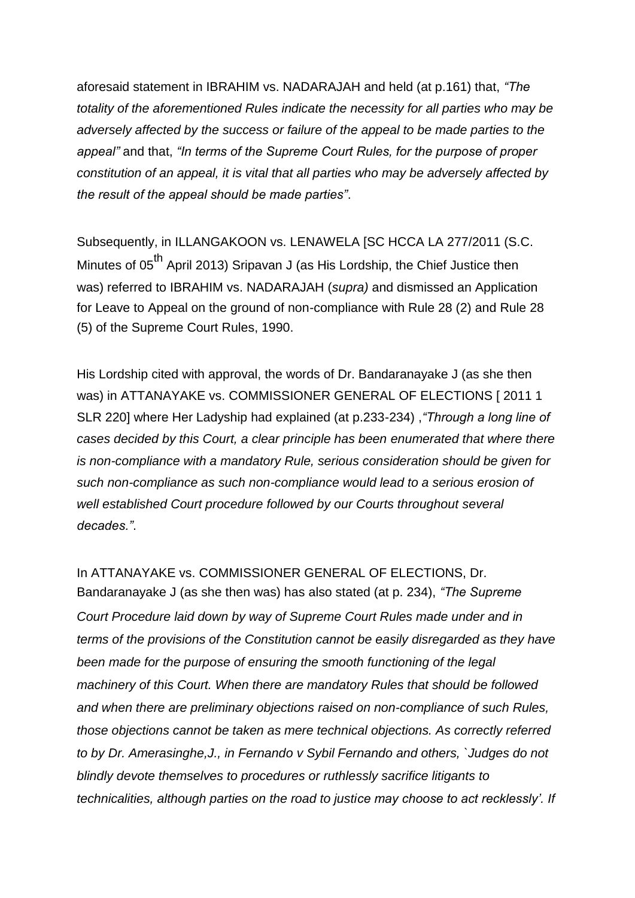aforesaid statement in IBRAHIM vs. NADARAJAH and held (at p.161) that, *"The totality of the aforementioned Rules indicate the necessity for all parties who may be adversely affected by the success or failure of the appeal to be made parties to the appeal"* and that, *"In terms of the Supreme Court Rules, for the purpose of proper constitution of an appeal, it is vital that all parties who may be adversely affected by the result of the appeal should be made parties"*.

Subsequently, in ILLANGAKOON vs. LENAWELA [SC HCCA LA 277/2011 (S.C. Minutes of 05<sup>th</sup> April 2013) Sripavan J (as His Lordship, the Chief Justice then was) referred to IBRAHIM vs. NADARAJAH (*supra)* and dismissed an Application for Leave to Appeal on the ground of non-compliance with Rule 28 (2) and Rule 28 (5) of the Supreme Court Rules, 1990.

His Lordship cited with approval, the words of Dr. Bandaranayake J (as she then was) in ATTANAYAKE vs. COMMISSIONER GENERAL OF ELECTIONS [ 2011 1 SLR 220] where Her Ladyship had explained (at p.233-234) ,*"Through a long line of cases decided by this Court, a clear principle has been enumerated that where there is non-compliance with a mandatory Rule, serious consideration should be given for such non-compliance as such non-compliance would lead to a serious erosion of well established Court procedure followed by our Courts throughout several decades."*.

In ATTANAYAKE vs. COMMISSIONER GENERAL OF ELECTIONS, Dr. Bandaranayake J (as she then was) has also stated (at p. 234), *"The Supreme Court Procedure laid down by way of Supreme Court Rules made under and in terms of the provisions of the Constitution cannot be easily disregarded as they have been made for the purpose of ensuring the smooth functioning of the legal machinery of this Court. When there are mandatory Rules that should be followed and when there are preliminary objections raised on non-compliance of such Rules, those objections cannot be taken as mere technical objections. As correctly referred to by Dr. Amerasinghe,J., in Fernando v Sybil Fernando and others, `Judges do not blindly devote themselves to procedures or ruthlessly sacrifice litigants to technicalities, although parties on the road to justice may choose to act recklessly'. If*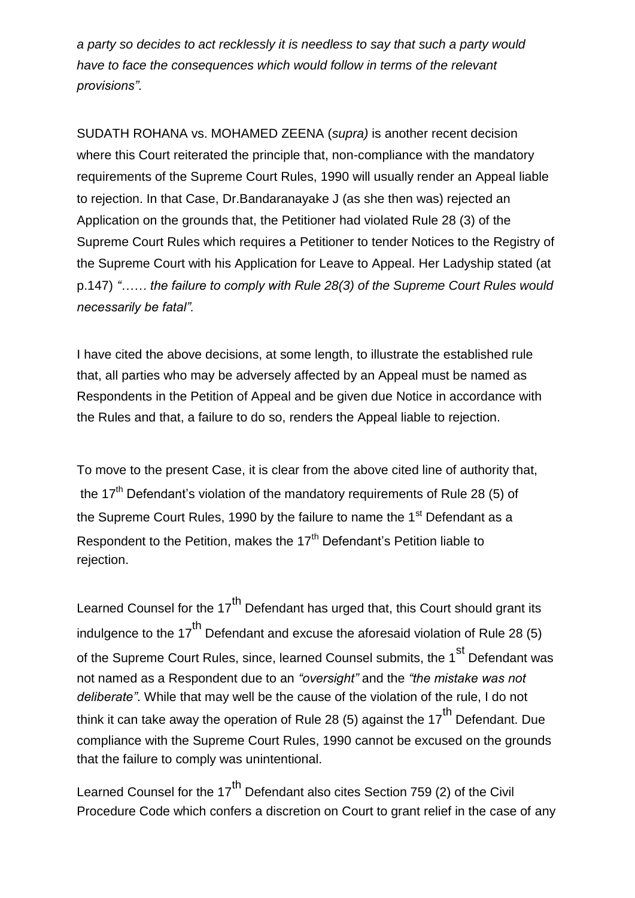*a party so decides to act recklessly it is needless to say that such a party would have to face the consequences which would follow in terms of the relevant provisions".*

SUDATH ROHANA vs. MOHAMED ZEENA (*supra)* is another recent decision where this Court reiterated the principle that, non-compliance with the mandatory requirements of the Supreme Court Rules, 1990 will usually render an Appeal liable to rejection. In that Case, Dr.Bandaranayake J (as she then was) rejected an Application on the grounds that, the Petitioner had violated Rule 28 (3) of the Supreme Court Rules which requires a Petitioner to tender Notices to the Registry of the Supreme Court with his Application for Leave to Appeal. Her Ladyship stated (at p.147) *"…… the failure to comply with Rule 28(3) of the Supreme Court Rules would necessarily be fatal".*

I have cited the above decisions, at some length, to illustrate the established rule that, all parties who may be adversely affected by an Appeal must be named as Respondents in the Petition of Appeal and be given due Notice in accordance with the Rules and that, a failure to do so, renders the Appeal liable to rejection.

To move to the present Case, it is clear from the above cited line of authority that, the  $17<sup>th</sup>$  Defendant's violation of the mandatory requirements of Rule 28 (5) of the Supreme Court Rules, 1990 by the failure to name the  $1<sup>st</sup>$  Defendant as a Respondent to the Petition, makes the 17<sup>th</sup> Defendant's Petition liable to rejection.

Learned Counsel for the  $17<sup>th</sup>$  Defendant has urged that, this Court should grant its indulgence to the 17<sup>th</sup> Defendant and excuse the aforesaid violation of Rule 28 (5) of the Supreme Court Rules, since, learned Counsel submits, the 1<sup>st</sup> Defendant was not named as a Respondent due to an *"oversight"* and the *"the mistake was not deliberate"*. While that may well be the cause of the violation of the rule, I do not think it can take away the operation of Rule 28 (5) against the 17<sup>th</sup> Defendant. Due compliance with the Supreme Court Rules, 1990 cannot be excused on the grounds that the failure to comply was unintentional.

Learned Counsel for the 17<sup>th</sup> Defendant also cites Section 759 (2) of the Civil Procedure Code which confers a discretion on Court to grant relief in the case of any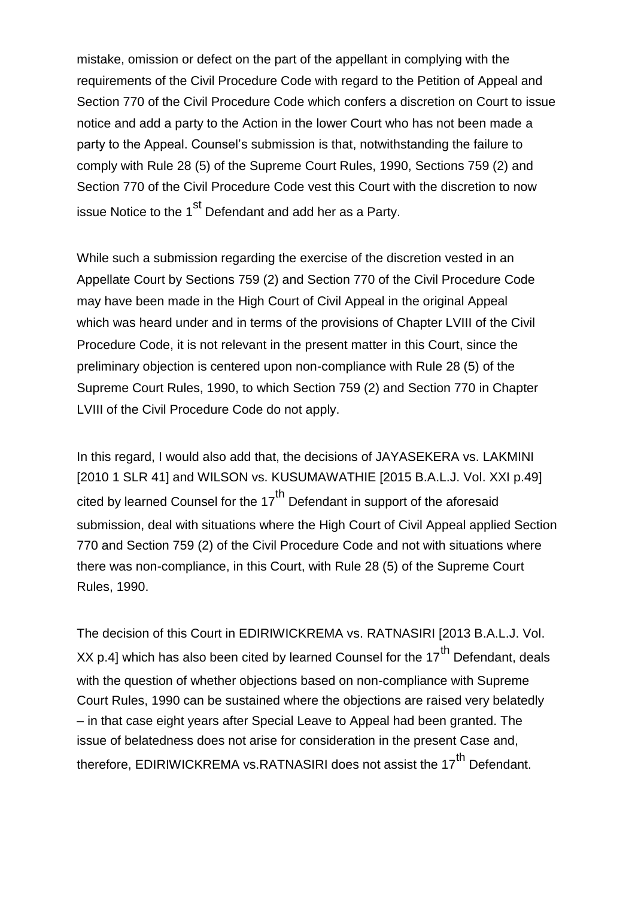mistake, omission or defect on the part of the appellant in complying with the requirements of the Civil Procedure Code with regard to the Petition of Appeal and Section 770 of the Civil Procedure Code which confers a discretion on Court to issue notice and add a party to the Action in the lower Court who has not been made a party to the Appeal. Counsel"s submission is that, notwithstanding the failure to comply with Rule 28 (5) of the Supreme Court Rules, 1990, Sections 759 (2) and Section 770 of the Civil Procedure Code vest this Court with the discretion to now issue Notice to the 1<sup>st</sup> Defendant and add her as a Party.

While such a submission regarding the exercise of the discretion vested in an Appellate Court by Sections 759 (2) and Section 770 of the Civil Procedure Code may have been made in the High Court of Civil Appeal in the original Appeal which was heard under and in terms of the provisions of Chapter LVIII of the Civil Procedure Code, it is not relevant in the present matter in this Court, since the preliminary objection is centered upon non-compliance with Rule 28 (5) of the Supreme Court Rules, 1990, to which Section 759 (2) and Section 770 in Chapter LVIII of the Civil Procedure Code do not apply.

In this regard, I would also add that, the decisions of JAYASEKERA vs. LAKMINI [2010 1 SLR 41] and WILSON vs. KUSUMAWATHIE [2015 B.A.L.J. Vol. XXI p.49] cited by learned Counsel for the  $17<sup>th</sup>$  Defendant in support of the aforesaid submission, deal with situations where the High Court of Civil Appeal applied Section 770 and Section 759 (2) of the Civil Procedure Code and not with situations where there was non-compliance, in this Court, with Rule 28 (5) of the Supreme Court Rules, 1990.

The decision of this Court in EDIRIWICKREMA vs. RATNASIRI [2013 B.A.L.J. Vol. XX p.4] which has also been cited by learned Counsel for the  $17<sup>th</sup>$  Defendant, deals with the question of whether objections based on non-compliance with Supreme Court Rules, 1990 can be sustained where the objections are raised very belatedly – in that case eight years after Special Leave to Appeal had been granted. The issue of belatedness does not arise for consideration in the present Case and, therefore, EDIRIWICKREMA vs.RATNASIRI does not assist the 17<sup>th</sup> Defendant.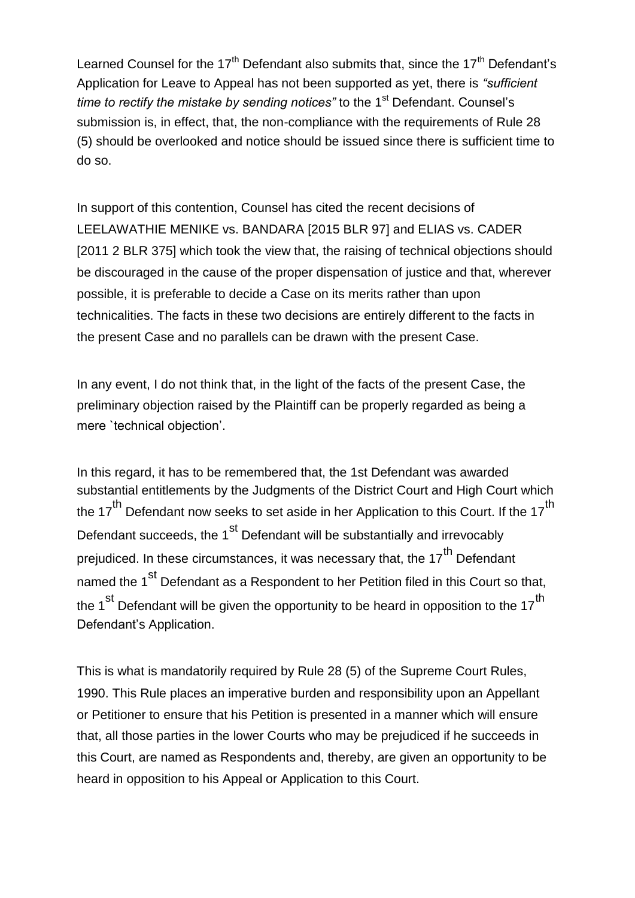Learned Counsel for the  $17<sup>th</sup>$  Defendant also submits that, since the  $17<sup>th</sup>$  Defendant's Application for Leave to Appeal has not been supported as yet, there is *"sufficient time to rectify the mistake by sending notices*" to the 1<sup>st</sup> Defendant. Counsel's submission is, in effect, that, the non-compliance with the requirements of Rule 28 (5) should be overlooked and notice should be issued since there is sufficient time to do so.

In support of this contention, Counsel has cited the recent decisions of LEELAWATHIE MENIKE vs. BANDARA [2015 BLR 97] and ELIAS vs. CADER [2011 2 BLR 375] which took the view that, the raising of technical objections should be discouraged in the cause of the proper dispensation of justice and that, wherever possible, it is preferable to decide a Case on its merits rather than upon technicalities. The facts in these two decisions are entirely different to the facts in the present Case and no parallels can be drawn with the present Case.

In any event, I do not think that, in the light of the facts of the present Case, the preliminary objection raised by the Plaintiff can be properly regarded as being a mere `technical objection".

In this regard, it has to be remembered that, the 1st Defendant was awarded substantial entitlements by the Judgments of the District Court and High Court which the 17<sup>th</sup> Defendant now seeks to set aside in her Application to this Court. If the 17<sup>th</sup> Defendant succeeds, the 1<sup>st</sup> Defendant will be substantially and irrevocably prejudiced. In these circumstances, it was necessary that, the 17<sup>th</sup> Defendant named the 1<sup>st</sup> Defendant as a Respondent to her Petition filed in this Court so that, the  $1<sup>st</sup>$  Defendant will be given the opportunity to be heard in opposition to the  $17<sup>th</sup>$ Defendant"s Application.

This is what is mandatorily required by Rule 28 (5) of the Supreme Court Rules, 1990. This Rule places an imperative burden and responsibility upon an Appellant or Petitioner to ensure that his Petition is presented in a manner which will ensure that, all those parties in the lower Courts who may be prejudiced if he succeeds in this Court, are named as Respondents and, thereby, are given an opportunity to be heard in opposition to his Appeal or Application to this Court.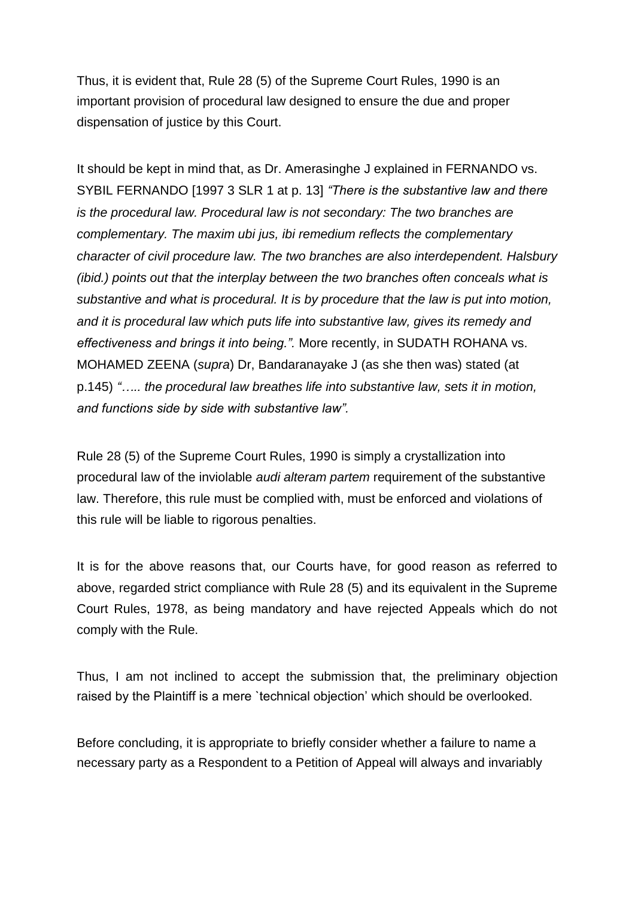Thus, it is evident that, Rule 28 (5) of the Supreme Court Rules, 1990 is an important provision of procedural law designed to ensure the due and proper dispensation of justice by this Court.

It should be kept in mind that, as Dr. Amerasinghe J explained in FERNANDO vs. SYBIL FERNANDO [1997 3 SLR 1 at p. 13] *"There is the substantive law and there is the procedural law. Procedural law is not secondary: The two branches are complementary. The maxim ubi jus, ibi remedium reflects the complementary character of civil procedure law. The two branches are also interdependent. Halsbury (ibid.) points out that the interplay between the two branches often conceals what is substantive and what is procedural. It is by procedure that the law is put into motion, and it is procedural law which puts life into substantive law, gives its remedy and effectiveness and brings it into being.".* More recently, in SUDATH ROHANA vs. MOHAMED ZEENA (*supra*) Dr, Bandaranayake J (as she then was) stated (at p.145) *"….. the procedural law breathes life into substantive law, sets it in motion, and functions side by side with substantive law".*

Rule 28 (5) of the Supreme Court Rules, 1990 is simply a crystallization into procedural law of the inviolable *audi alteram partem* requirement of the substantive law. Therefore, this rule must be complied with, must be enforced and violations of this rule will be liable to rigorous penalties.

It is for the above reasons that, our Courts have, for good reason as referred to above, regarded strict compliance with Rule 28 (5) and its equivalent in the Supreme Court Rules, 1978, as being mandatory and have rejected Appeals which do not comply with the Rule.

Thus, I am not inclined to accept the submission that, the preliminary objection raised by the Plaintiff is a mere `technical objection" which should be overlooked.

Before concluding, it is appropriate to briefly consider whether a failure to name a necessary party as a Respondent to a Petition of Appeal will always and invariably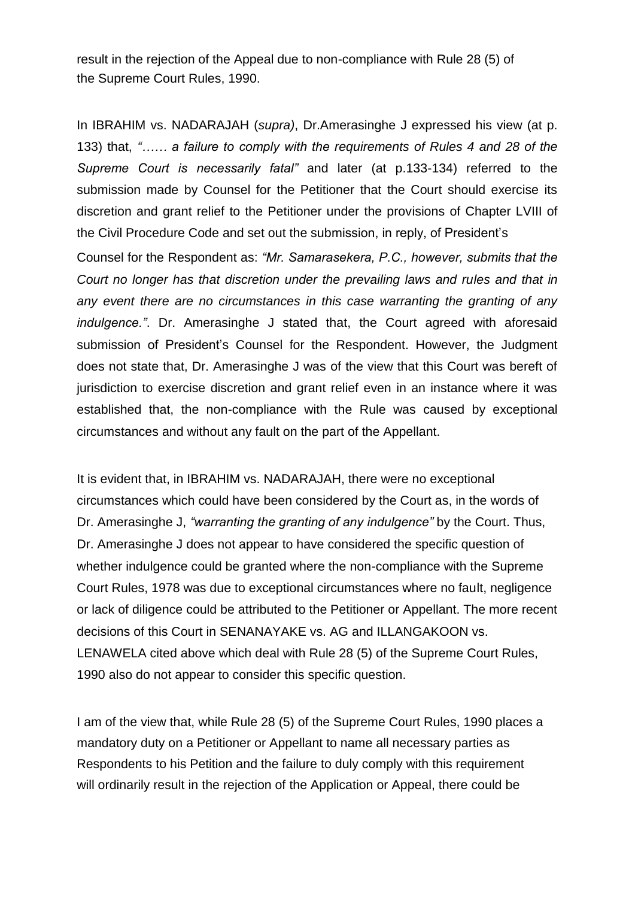result in the rejection of the Appeal due to non-compliance with Rule 28 (5) of the Supreme Court Rules, 1990.

In IBRAHIM vs. NADARAJAH (*supra)*, Dr.Amerasinghe J expressed his view (at p. 133) that, *"…… a failure to comply with the requirements of Rules 4 and 28 of the Supreme Court is necessarily fatal"* and later (at p.133-134) referred to the submission made by Counsel for the Petitioner that the Court should exercise its discretion and grant relief to the Petitioner under the provisions of Chapter LVIII of the Civil Procedure Code and set out the submission, in reply, of President"s

Counsel for the Respondent as: *"Mr. Samarasekera, P.C., however, submits that the Court no longer has that discretion under the prevailing laws and rules and that in any event there are no circumstances in this case warranting the granting of any indulgence."*. Dr. Amerasinghe J stated that, the Court agreed with aforesaid submission of President"s Counsel for the Respondent. However, the Judgment does not state that, Dr. Amerasinghe J was of the view that this Court was bereft of jurisdiction to exercise discretion and grant relief even in an instance where it was established that, the non-compliance with the Rule was caused by exceptional circumstances and without any fault on the part of the Appellant.

It is evident that, in IBRAHIM vs. NADARAJAH, there were no exceptional circumstances which could have been considered by the Court as, in the words of Dr. Amerasinghe J, *"warranting the granting of any indulgence"* by the Court. Thus, Dr. Amerasinghe J does not appear to have considered the specific question of whether indulgence could be granted where the non-compliance with the Supreme Court Rules, 1978 was due to exceptional circumstances where no fault, negligence or lack of diligence could be attributed to the Petitioner or Appellant. The more recent decisions of this Court in SENANAYAKE vs. AG and ILLANGAKOON vs. LENAWELA cited above which deal with Rule 28 (5) of the Supreme Court Rules, 1990 also do not appear to consider this specific question.

I am of the view that, while Rule 28 (5) of the Supreme Court Rules, 1990 places a mandatory duty on a Petitioner or Appellant to name all necessary parties as Respondents to his Petition and the failure to duly comply with this requirement will ordinarily result in the rejection of the Application or Appeal, there could be